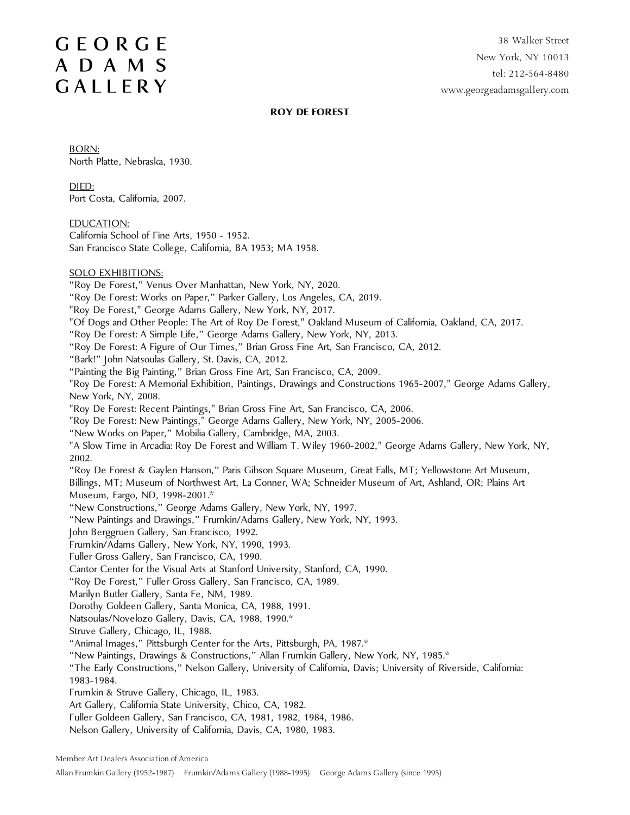38 Walker Street New York, NY 10013 tel: 212-564-8480 www.georgeadamsgallery.com

#### **ROY DE FOREST**

BORN: North Platte, Nebraska, 1930.

DIED: Port Costa, California, 2007.

EDUCATION:

California School of Fine Arts, 1950 - 1952. San Francisco State College, California, BA 1953; MA 1958.

SOLO EXHIBITIONS:

"Roy De Forest," Venus Over Manhattan, New York, NY, 2020.

- "Roy De Forest: Works on Paper," Parker Gallery, Los Angeles, CA, 2019.
- "Roy De Forest," George Adams Gallery, New York, NY, 2017.
- "Of Dogs and Other People: The Art of Roy De Forest," Oakland Museum of California, Oakland, CA, 2017.
- "Roy De Forest: A Simple Life," George Adams Gallery, New York, NY, 2013.
- "Roy De Forest: A Figure of Our Times," Brian Gross Fine Art, San Francisco, CA, 2012.
- "Bark!" John Natsoulas Gallery, St. Davis, CA, 2012.
- "Painting the Big Painting," Brian Gross Fine Art, San Francisco, CA, 2009.

"Roy De Forest: A Memorial Exhibition, Paintings, Drawings and Constructions 1965-2007," George Adams Gallery, New York, NY, 2008.

- "Roy De Forest: Recent Paintings," Brian Gross Fine Art, San Francisco, CA, 2006.
- "Roy De Forest: New Paintings," George Adams Gallery, New York, NY, 2005-2006.
- "New Works on Paper," Mobilia Gallery, Cambridge, MA, 2003.

"A Slow Time in Arcadia: Roy De Forest and William T. Wiley 1960-2002," George Adams Gallery, New York, NY, 2002.

"Roy De Forest & Gaylen Hanson," Paris Gibson Square Museum, Great Falls, MT; Yellowstone Art Museum, Billings, MT; Museum of Northwest Art, La Conner, WA; Schneider Museum of Art, Ashland, OR; Plains Art

Museum, Fargo, ND, 1998-2001.\*

"New Constructions," George Adams Gallery, New York, NY, 1997.

"New Paintings and Drawings," Frumkin/Adams Gallery, New York, NY, 1993.

John Berggruen Gallery, San Francisco, 1992.

- Frumkin/Adams Gallery, New York, NY, 1990, 1993.
- Fuller Gross Gallery, San Francisco, CA, 1990.
- Cantor Center for the Visual Arts at Stanford University, Stanford, CA, 1990.

"Roy De Forest," Fuller Gross Gallery, San Francisco, CA, 1989.

- Marilyn Butler Gallery, Santa Fe, NM, 1989.
- Dorothy Goldeen Gallery, Santa Monica, CA, 1988, 1991.
- Natsoulas/Novelozo Gallery, Davis, CA, 1988, 1990.\*

Struve Gallery, Chicago, IL, 1988.

"Animal Images," Pittsburgh Center for the Arts, Pittsburgh, PA, 1987.\*

"New Paintings, Drawings & Constructions," Allan Frumkin Gallery, New York, NY, 1985.\*

- "The Early Constructions," Nelson Gallery, University of California, Davis; University of Riverside, California: 1983-1984.
- Frumkin & Struve Gallery, Chicago, IL, 1983.

Art Gallery, California State University, Chico, CA, 1982.

- Fuller Goldeen Gallery, San Francisco, CA, 1981, 1982, 1984, 1986.
- Nelson Gallery, University of California, Davis, CA, 1980, 1983.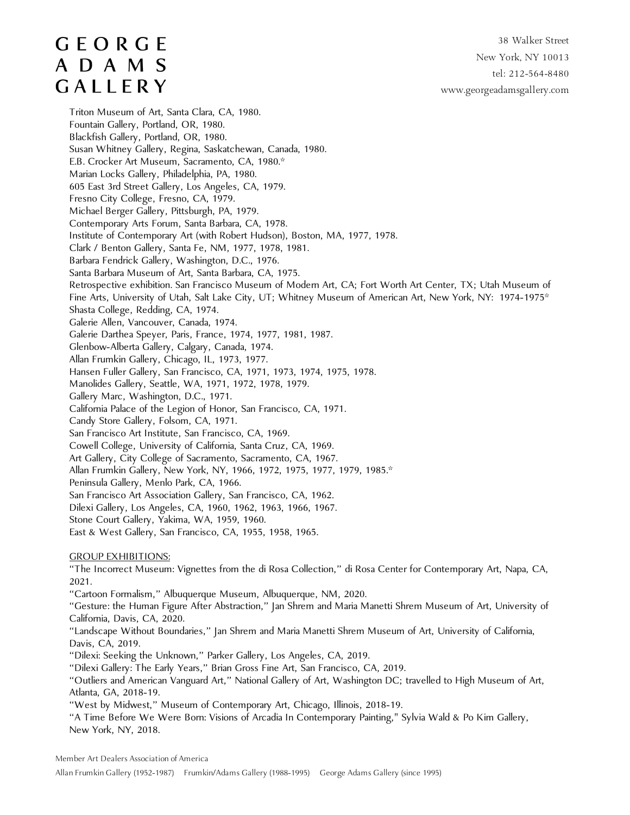#### 38 Walker Street New York, NY 10013 tel: 212-564-8480 www.georgeadamsgallery.com

# **GEORGE** ADAMS GALLERY

Triton Museum of Art, Santa Clara, CA, 1980. Fountain Gallery, Portland, OR, 1980. Blackfish Gallery, Portland, OR, 1980. Susan Whitney Gallery, Regina, Saskatchewan, Canada, 1980. E.B. Crocker Art Museum, Sacramento, CA, 1980.\* Marian Locks Gallery, Philadelphia, PA, 1980. 605 East 3rd Street Gallery, Los Angeles, CA, 1979. Fresno City College, Fresno, CA, 1979. Michael Berger Gallery, Pittsburgh, PA, 1979. Contemporary Arts Forum, Santa Barbara, CA, 1978. Institute of Contemporary Art (with Robert Hudson), Boston, MA, 1977, 1978. Clark / Benton Gallery, Santa Fe, NM, 1977, 1978, 1981. Barbara Fendrick Gallery, Washington, D.C., 1976. Santa Barbara Museum of Art, Santa Barbara, CA, 1975. Retrospective exhibition. San Francisco Museum of Modern Art, CA; Fort Worth Art Center, TX; Utah Museum of Fine Arts, University of Utah, Salt Lake City, UT; Whitney Museum of American Art, New York, NY: 1974-1975\* Shasta College, Redding, CA, 1974. Galerie Allen, Vancouver, Canada, 1974. Galerie Darthea Speyer, Paris, France, 1974, 1977, 1981, 1987. Glenbow-Alberta Gallery, Calgary, Canada, 1974. Allan Frumkin Gallery, Chicago, IL, 1973, 1977. Hansen Fuller Gallery, San Francisco, CA, 1971, 1973, 1974, 1975, 1978. Manolides Gallery, Seattle, WA, 1971, 1972, 1978, 1979. Gallery Marc, Washington, D.C., 1971. California Palace of the Legion of Honor, San Francisco, CA, 1971. Candy Store Gallery, Folsom, CA, 1971. San Francisco Art Institute, San Francisco, CA, 1969. Cowell College, University of California, Santa Cruz, CA, 1969. Art Gallery, City College of Sacramento, Sacramento, CA, 1967. Allan Frumkin Gallery, New York, NY, 1966, 1972, 1975, 1977, 1979, 1985.\* Peninsula Gallery, Menlo Park, CA, 1966. San Francisco Art Association Gallery, San Francisco, CA, 1962. Dilexi Gallery, Los Angeles, CA, 1960, 1962, 1963, 1966, 1967. Stone Court Gallery, Yakima, WA, 1959, 1960. East & West Gallery, San Francisco, CA, 1955, 1958, 1965. GROUP EXHIBITIONS: "The Incorrect Museum: Vignettes from the di Rosa Collection," di Rosa Center for Contemporary Art, Napa, CA,

2021.

"Cartoon Formalism," Albuquerque Museum, Albuquerque, NM, 2020.

"Gesture: the Human Figure After Abstraction," Jan Shrem and Maria Manetti Shrem Museum of Art, University of California, Davis, CA, 2020.

"Landscape Without Boundaries," Jan Shrem and Maria Manetti Shrem Museum of Art, University of California, Davis, CA, 2019.

"Dilexi: Seeking the Unknown," Parker Gallery, Los Angeles, CA, 2019.

"Dilexi Gallery: The Early Years," Brian Gross Fine Art, San Francisco, CA, 2019.

"Outliers and American Vanguard Art," National Gallery of Art, Washington DC; travelled to High Museum of Art, Atlanta, GA, 2018-19.

"West by Midwest," Museum of Contemporary Art, Chicago, Illinois, 2018-19.

"A Time Before We Were Born: Visions of Arcadia In Contemporary Painting," Sylvia Wald & Po Kim Gallery, New York, NY, 2018.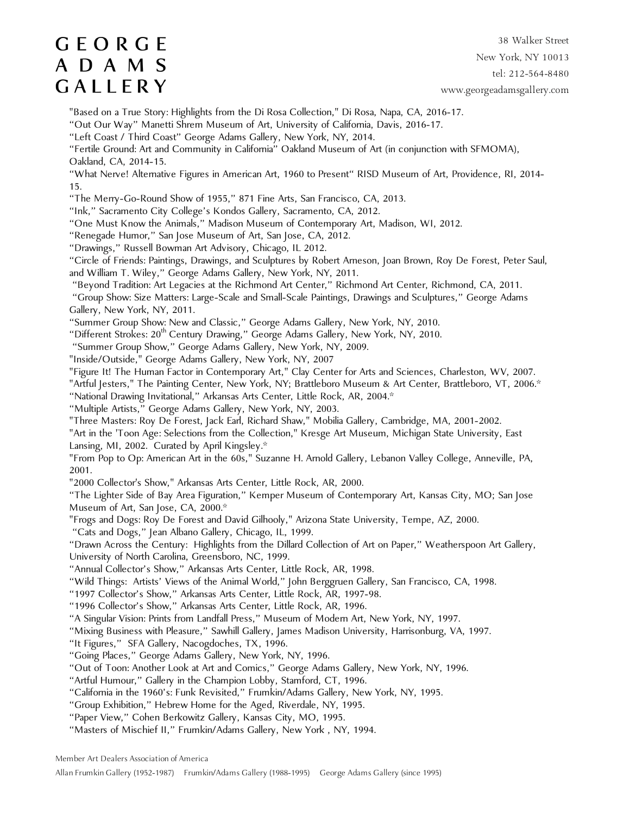38 Walker Street New York, NY 10013 tel: 212-564-8480 www.georgeadamsgallery.com

"Based on a True Story: Highlights from the Di Rosa Collection," Di Rosa, Napa, CA, 2016-17.

"Out Our Way" Manetti Shrem Museum of Art, University of California, Davis, 2016-17.

"Left Coast / Third Coast" George Adams Gallery, New York, NY, 2014.

"Fertile Ground: Art and Community in California" Oakland Museum of Art (in conjunction with SFMOMA), Oakland, CA, 2014-15.

"What Nerve! Alternative Figures in American Art, 1960 to Present" RISD Museum of Art, Providence, RI, 2014- 15.

"The Merry-Go-Round Show of 1955," 871 Fine Arts, San Francisco, CA, 2013.

"Ink," Sacramento City College's Kondos Gallery, Sacramento, CA, 2012.

"One Must Know the Animals," Madison Museum of Contemporary Art, Madison, WI, 2012.

"Renegade Humor," San Jose Museum of Art, San Jose, CA, 2012.

"Drawings," Russell Bowman Art Advisory, Chicago, IL 2012.

"Circle of Friends: Paintings, Drawings, and Sculptures by Robert Arneson, Joan Brown, Roy De Forest, Peter Saul, and William T. Wiley," George Adams Gallery, New York, NY, 2011.

"Beyond Tradition: Art Legacies at the Richmond Art Center," Richmond Art Center, Richmond, CA, 2011.

 "Group Show: Size Matters: Large-Scale and Small-Scale Paintings, Drawings and Sculptures," George Adams Gallery, New York, NY, 2011.

"Summer Group Show: New and Classic," George Adams Gallery, New York, NY, 2010.

"Different Strokes: 20<sup>th</sup> Century Drawing," George Adams Gallery, New York, NY, 2010.

"Summer Group Show," George Adams Gallery, New York, NY, 2009.

"Inside/Outside," George Adams Gallery, New York, NY, 2007

"Figure It! The Human Factor in Contemporary Art," Clay Center for Arts and Sciences, Charleston, WV, 2007.

"Artful Jesters," The Painting Center, New York, NY; Brattleboro Museum & Art Center, Brattleboro, VT, 2006.\*

"National Drawing Invitational," Arkansas Arts Center, Little Rock, AR, 2004.\*

"Multiple Artists," George Adams Gallery, New York, NY, 2003.

"Three Masters: Roy De Forest, Jack Earl, Richard Shaw," Mobilia Gallery, Cambridge, MA, 2001-2002.

"Art in the 'Toon Age: Selections from the Collection," Kresge Art Museum, Michigan State University, East Lansing, MI, 2002. Curated by April Kingsley.\*

"From Pop to Op: American Art in the 60s," Suzanne H. Arnold Gallery, Lebanon Valley College, Anneville, PA, 2001.

"2000 Collector's Show," Arkansas Arts Center, Little Rock, AR, 2000.

"The Lighter Side of Bay Area Figuration," Kemper Museum of Contemporary Art, Kansas City, MO; San Jose Museum of Art, San Jose, CA, 2000.\*

"Frogs and Dogs: Roy De Forest and David Gilhooly," Arizona State University, Tempe, AZ, 2000.

"Cats and Dogs," Jean Albano Gallery, Chicago, IL, 1999.

"Drawn Across the Century: Highlights from the Dillard Collection of Art on Paper," Weatherspoon Art Gallery, University of North Carolina, Greensboro, NC, 1999.

"Annual Collector's Show," Arkansas Arts Center, Little Rock, AR, 1998.

"Wild Things: Artists' Views of the Animal World," John Berggruen Gallery, San Francisco, CA, 1998.

"1997 Collector's Show," Arkansas Arts Center, Little Rock, AR, 1997-98.

"1996 Collector's Show," Arkansas Arts Center, Little Rock, AR, 1996.

"A Singular Vision: Prints from Landfall Press," Museum of Modern Art, New York, NY, 1997.

"Mixing Business with Pleasure," Sawhill Gallery, James Madison University, Harrisonburg, VA, 1997.

"It Figures," SFA Gallery, Nacogdoches, TX, 1996.

"Going Places," George Adams Gallery, New York, NY, 1996.

"Out of Toon: Another Look at Art and Comics," George Adams Gallery, New York, NY, 1996.

"Artful Humour," Gallery in the Champion Lobby, Stamford, CT, 1996.

"California in the 1960's: Funk Revisited," Frumkin/Adams Gallery, New York, NY, 1995.

"Group Exhibition," Hebrew Home for the Aged, Riverdale, NY, 1995.

"Paper View," Cohen Berkowitz Gallery, Kansas City, MO, 1995.

"Masters of Mischief II," Frumkin/Adams Gallery, New York , NY, 1994.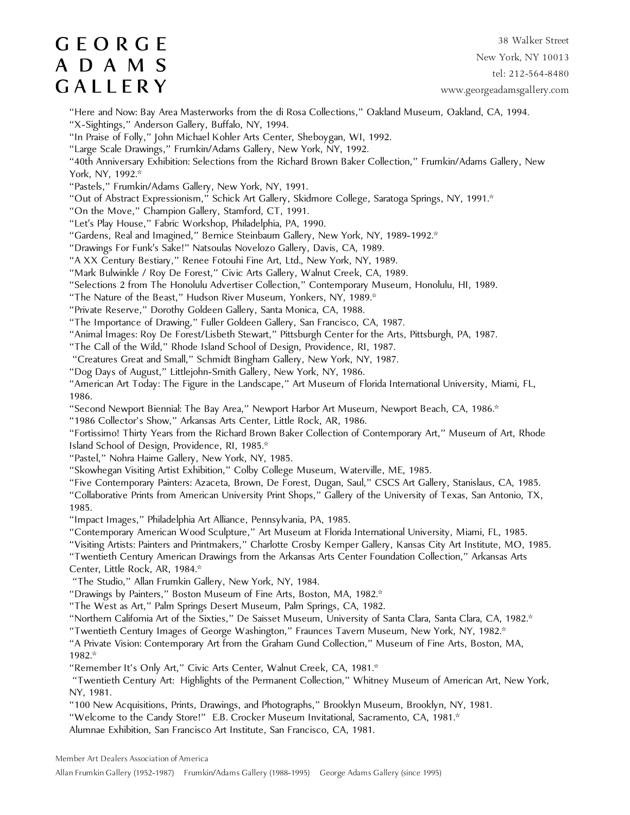38 Walker Street New York, NY 10013 tel: 212-564-8480 www.georgeadamsgallery.com

"Here and Now: Bay Area Masterworks from the di Rosa Collections," Oakland Museum, Oakland, CA, 1994.

"X-Sightings," Anderson Gallery, Buffalo, NY, 1994.

"In Praise of Folly," John Michael Kohler Arts Center, Sheboygan, WI, 1992.

"Large Scale Drawings," Frumkin/Adams Gallery, New York, NY, 1992.

"40th Anniversary Exhibition: Selections from the Richard Brown Baker Collection," Frumkin/Adams Gallery, New York, NY, 1992.\*

"Pastels," Frumkin/Adams Gallery, New York, NY, 1991.

"Out of Abstract Expressionism," Schick Art Gallery, Skidmore College, Saratoga Springs, NY, 1991.\*

"On the Move," Champion Gallery, Stamford, CT, 1991.

"Let's Play House," Fabric Workshop, Philadelphia, PA, 1990.

"Gardens, Real and Imagined," Bernice Steinbaum Gallery, New York, NY, 1989-1992.\*

"Drawings For Funk's Sake!" Natsoulas Novelozo Gallery, Davis, CA, 1989.

"A XX Century Bestiary," Renee Fotouhi Fine Art, Ltd., New York, NY, 1989.

"Mark Bulwinkle / Roy De Forest," Civic Arts Gallery, Walnut Creek, CA, 1989.

"Selections 2 from The Honolulu Advertiser Collection," Contemporary Museum, Honolulu, HI, 1989.

"The Nature of the Beast," Hudson River Museum, Yonkers, NY, 1989.\*

"Private Reserve," Dorothy Goldeen Gallery, Santa Monica, CA, 1988.

"The Importance of Drawing," Fuller Goldeen Gallery, San Francisco, CA, 1987.

"Animal Images: Roy De Forest/Lisbeth Stewart," Pittsburgh Center for the Arts, Pittsburgh, PA, 1987.

"The Call of the Wild," Rhode Island School of Design, Providence, RI, 1987.

"Creatures Great and Small," Schmidt Bingham Gallery, New York, NY, 1987.

"Dog Days of August," Littlejohn-Smith Gallery, New York, NY, 1986.

"American Art Today: The Figure in the Landscape," Art Museum of Florida International University, Miami, FL, 1986.

"Second Newport Biennial: The Bay Area," Newport Harbor Art Museum, Newport Beach, CA, 1986.\*

"1986 Collector's Show," Arkansas Arts Center, Little Rock, AR, 1986.

"Fortissimo! Thirty Years from the Richard Brown Baker Collection of Contemporary Art," Museum of Art, Rhode Island School of Design, Providence, RI, 1985.\*

"Pastel," Nohra Haime Gallery, New York, NY, 1985.

"Skowhegan Visiting Artist Exhibition," Colby College Museum, Waterville, ME, 1985.

"Five Contemporary Painters: Azaceta, Brown, De Forest, Dugan, Saul," CSCS Art Gallery, Stanislaus, CA, 1985. "Collaborative Prints from American University Print Shops," Gallery of the University of Texas, San Antonio, TX, 1985.

"Impact Images," Philadelphia Art Alliance, Pennsylvania, PA, 1985.

"Contemporary American Wood Sculpture," Art Museum at Florida International University, Miami, FL, 1985.

"Visiting Artists: Painters and Printmakers," Charlotte Crosby Kemper Gallery, Kansas City Art Institute, MO, 1985.

"Twentieth Century American Drawings from the Arkansas Arts Center Foundation Collection," Arkansas Arts Center, Little Rock, AR, 1984.\*

"The Studio," Allan Frumkin Gallery, New York, NY, 1984.

"Drawings by Painters," Boston Museum of Fine Arts, Boston, MA, 1982.\*

"The West as Art," Palm Springs Desert Museum, Palm Springs, CA, 1982.

"Northern California Art of the Sixties," De Saisset Museum, University of Santa Clara, Santa Clara, CA, 1982.\*

"Twentieth Century Images of George Washington," Fraunces Tavern Museum, New York, NY, 1982.\*

"A Private Vision: Contemporary Art from the Graham Gund Collection," Museum of Fine Arts, Boston, MA, 1982.\*

"Remember It's Only Art," Civic Arts Center, Walnut Creek, CA, 1981.\*

 "Twentieth Century Art: Highlights of the Permanent Collection," Whitney Museum of American Art, New York, NY, 1981.

"100 New Acquisitions, Prints, Drawings, and Photographs," Brooklyn Museum, Brooklyn, NY, 1981.

"Welcome to the Candy Store!" E.B. Crocker Museum Invitational, Sacramento, CA, 1981.\*

Alumnae Exhibition, San Francisco Art Institute, San Francisco, CA, 1981.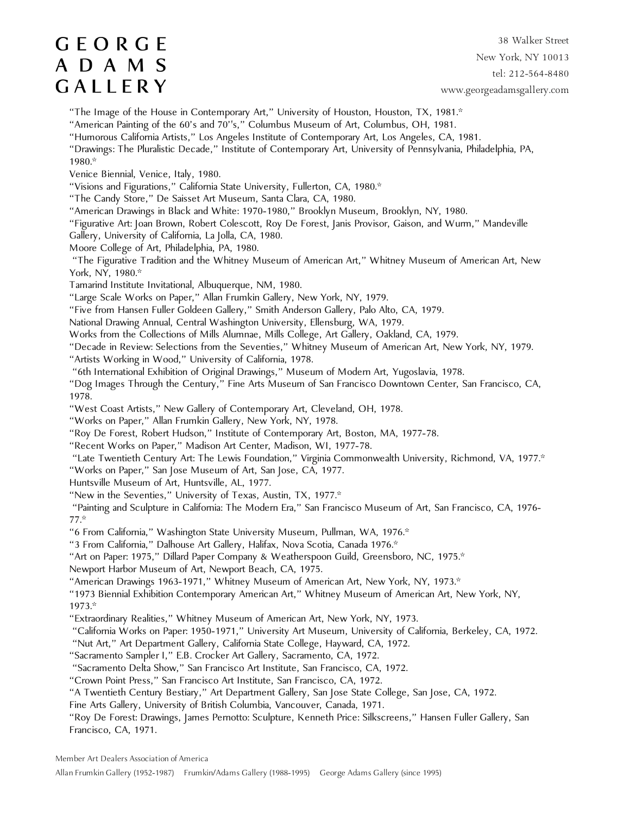38 Walker Street New York, NY 10013 tel: 212-564-8480 www.georgeadamsgallery.com

"The Image of the House in Contemporary Art," University of Houston, Houston, TX, 1981.\*

"American Painting of the 60's and 70''s," Columbus Museum of Art, Columbus, OH, 1981.

"Humorous California Artists," Los Angeles Institute of Contemporary Art, Los Angeles, CA, 1981.

"Drawings: The Pluralistic Decade," Institute of Contemporary Art, University of Pennsylvania, Philadelphia, PA, 1980.\*

Venice Biennial, Venice, Italy, 1980.

"Visions and Figurations," California State University, Fullerton, CA, 1980.\*

"The Candy Store," De Saisset Art Museum, Santa Clara, CA, 1980.

"American Drawings in Black and White: 1970-1980," Brooklyn Museum, Brooklyn, NY, 1980.

"Figurative Art: Joan Brown, Robert Colescott, Roy De Forest, Janis Provisor, Gaison, and Wurm," Mandeville

Gallery, University of California, La Jolla, CA, 1980.

Moore College of Art, Philadelphia, PA, 1980.

 "The Figurative Tradition and the Whitney Museum of American Art," Whitney Museum of American Art, New York, NY, 1980.\*

Tamarind Institute Invitational, Albuquerque, NM, 1980.

"Large Scale Works on Paper," Allan Frumkin Gallery, New York, NY, 1979.

"Five from Hansen Fuller Goldeen Gallery," Smith Anderson Gallery, Palo Alto, CA, 1979.

National Drawing Annual, Central Washington University, Ellensburg, WA, 1979.

Works from the Collections of Mills Alumnae, Mills College, Art Gallery, Oakland, CA, 1979.

"Decade in Review: Selections from the Seventies," Whitney Museum of American Art, New York, NY, 1979.

"Artists Working in Wood," University of California, 1978.

"6th International Exhibition of Original Drawings," Museum of Modern Art, Yugoslavia, 1978.

"Dog Images Through the Century," Fine Arts Museum of San Francisco Downtown Center, San Francisco, CA, 1978.

"West Coast Artists," New Gallery of Contemporary Art, Cleveland, OH, 1978.

"Works on Paper," Allan Frumkin Gallery, New York, NY, 1978.

"Roy De Forest, Robert Hudson," Institute of Contemporary Art, Boston, MA, 1977-78.

"Recent Works on Paper," Madison Art Center, Madison, WI, 1977-78.

"Late Twentieth Century Art: The Lewis Foundation," Virginia Commonwealth University, Richmond, VA, 1977.\*

"Works on Paper," San Jose Museum of Art, San Jose, CA, 1977.

Huntsville Museum of Art, Huntsville, AL, 1977.

"New in the Seventies," University of Texas, Austin, TX, 1977.\*

 "Painting and Sculpture in California: The Modern Era," San Francisco Museum of Art, San Francisco, CA, 1976- 77.\*

"6 From California," Washington State University Museum, Pullman, WA, 1976.\*

"3 From California," Dalhouse Art Gallery, Halifax, Nova Scotia, Canada 1976.\*

"Art on Paper: 1975," Dillard Paper Company & Weatherspoon Guild, Greensboro, NC, 1975.\*

Newport Harbor Museum of Art, Newport Beach, CA, 1975.

"American Drawings 1963-1971," Whitney Museum of American Art, New York, NY, 1973.\*

"1973 Biennial Exhibition Contemporary American Art," Whitney Museum of American Art, New York, NY, 1973.\*

"Extraordinary Realities," Whitney Museum of American Art, New York, NY, 1973.

"California Works on Paper: 1950-1971," University Art Museum, University of California, Berkeley, CA, 1972.

"Nut Art," Art Department Gallery, California State College, Hayward, CA, 1972.

"Sacramento Sampler I," E.B. Crocker Art Gallery, Sacramento, CA, 1972.

"Sacramento Delta Show," San Francisco Art Institute, San Francisco, CA, 1972.

"Crown Point Press," San Francisco Art Institute, San Francisco, CA, 1972.

"A Twentieth Century Bestiary," Art Department Gallery, San Jose State College, San Jose, CA, 1972.

Fine Arts Gallery, University of British Columbia, Vancouver, Canada, 1971.

"Roy De Forest: Drawings, James Pernotto: Sculpture, Kenneth Price: Silkscreens," Hansen Fuller Gallery, San Francisco, CA, 1971.

Member Art Dealers Association of America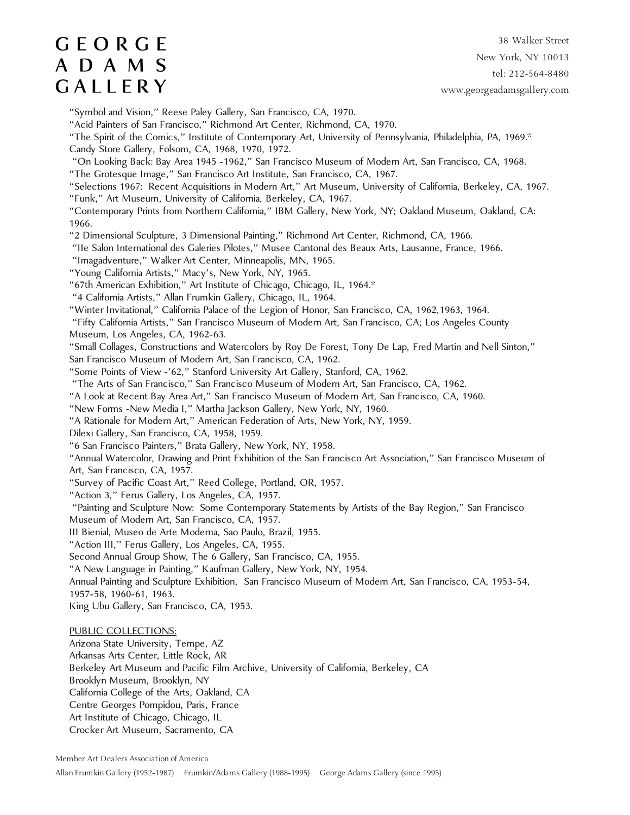38 Walker Street New York, NY 10013 tel: 212-564-8480 www.georgeadamsgallery.com

"Symbol and Vision," Reese Paley Gallery, San Francisco, CA, 1970.

"Acid Painters of San Francisco," Richmond Art Center, Richmond, CA, 1970.

"The Spirit of the Comics," Institute of Contemporary Art, University of Pennsylvania, Philadelphia, PA, 1969.\*

Candy Store Gallery, Folsom, CA, 1968, 1970, 1972.

 "On Looking Back: Bay Area 1945 -1962," San Francisco Museum of Modern Art, San Francisco, CA, 1968. "The Grotesque Image," San Francisco Art Institute, San Francisco, CA, 1967.

"Selections 1967: Recent Acquisitions in Modern Art," Art Museum, University of California, Berkeley, CA, 1967.

"Funk," Art Museum, University of California, Berkeley, CA, 1967.

"Contemporary Prints from Northern California," IBM Gallery, New York, NY; Oakland Museum, Oakland, CA: 1966.

"2 Dimensional Sculpture, 3 Dimensional Painting," Richmond Art Center, Richmond, CA, 1966.

"IIe Salon International des Galeries Pilotes," Musee Cantonal des Beaux Arts, Lausanne, France, 1966.

"Imagadventure," Walker Art Center, Minneapolis, MN, 1965.

"Young California Artists," Macy's, New York, NY, 1965.

"67th American Exhibition," Art Institute of Chicago, Chicago, IL, 1964.\*

"4 California Artists," Allan Frumkin Gallery, Chicago, IL, 1964.

"Winter Invitational," California Palace of the Legion of Honor, San Francisco, CA, 1962,1963, 1964.

 "Fifty California Artists," San Francisco Museum of Modern Art, San Francisco, CA; Los Angeles County Museum, Los Angeles, CA, 1962-63.

"Small Collages, Constructions and Watercolors by Roy De Forest, Tony De Lap, Fred Martin and Nell Sinton,"

San Francisco Museum of Modern Art, San Francisco, CA, 1962.

"Some Points of View -'62," Stanford University Art Gallery, Stanford, CA, 1962.

"The Arts of San Francisco," San Francisco Museum of Modern Art, San Francisco, CA, 1962.

"A Look at Recent Bay Area Art," San Francisco Museum of Modern Art, San Francisco, CA, 1960.

"New Forms -New Media I," Martha Jackson Gallery, New York, NY, 1960.

"A Rationale for Modern Art," American Federation of Arts, New York, NY, 1959.

Dilexi Gallery, San Francisco, CA, 1958, 1959.

"6 San Francisco Painters," Brata Gallery, New York, NY, 1958.

"Annual Watercolor, Drawing and Print Exhibition of the San Francisco Art Association," San Francisco Museum of Art, San Francisco, CA, 1957.

"Survey of Pacific Coast Art," Reed College, Portland, OR, 1957.

"Action 3," Ferus Gallery, Los Angeles, CA, 1957.

 "Painting and Sculpture Now: Some Contemporary Statements by Artists of the Bay Region," San Francisco Museum of Modern Art, San Francisco, CA, 1957.

III Bienial, Museo de Arte Moderna, Sao Paulo, Brazil, 1955.

"Action III," Ferus Gallery, Los Angeles, CA, 1955.

Second Annual Group Show, The 6 Gallery, San Francisco, CA, 1955.

"A New Language in Painting," Kaufman Gallery, New York, NY, 1954.

Annual Painting and Sculpture Exhibition, San Francisco Museum of Modern Art, San Francisco, CA, 1953-54, 1957-58, 1960-61, 1963.

King Ubu Gallery, San Francisco, CA, 1953.

PUBLIC COLLECTIONS:

Arizona State University, Tempe, AZ Arkansas Arts Center, Little Rock, AR Berkeley Art Museum and Pacific Film Archive, University of California, Berkeley, CA Brooklyn Museum, Brooklyn, NY California College of the Arts, Oakland, CA Centre Georges Pompidou, Paris, France Art Institute of Chicago, Chicago, IL Crocker Art Museum, Sacramento, CA